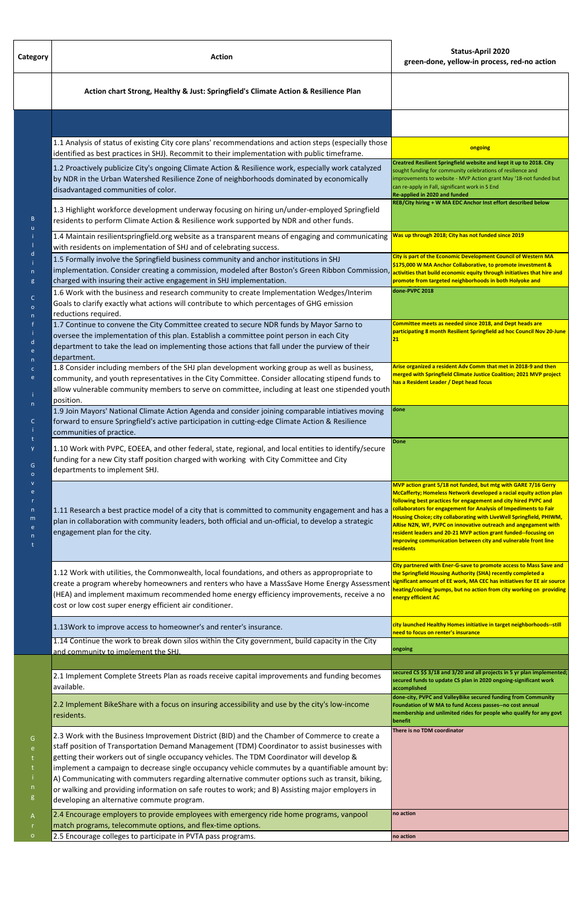| Category                                                  | <b>Action</b>                                                                                                                                                                                                                                                                                                                                                                                                                                                                                                                                                                                                                                         | <b>Status-April 2020</b><br>green-done, yellow-in process, red-no action                                                                                                                                                                                                                                                                                                                                                                                                                                                                                                |
|-----------------------------------------------------------|-------------------------------------------------------------------------------------------------------------------------------------------------------------------------------------------------------------------------------------------------------------------------------------------------------------------------------------------------------------------------------------------------------------------------------------------------------------------------------------------------------------------------------------------------------------------------------------------------------------------------------------------------------|-------------------------------------------------------------------------------------------------------------------------------------------------------------------------------------------------------------------------------------------------------------------------------------------------------------------------------------------------------------------------------------------------------------------------------------------------------------------------------------------------------------------------------------------------------------------------|
|                                                           | Action chart Strong, Healthy & Just: Springfield's Climate Action & Resilience Plan                                                                                                                                                                                                                                                                                                                                                                                                                                                                                                                                                                   |                                                                                                                                                                                                                                                                                                                                                                                                                                                                                                                                                                         |
|                                                           |                                                                                                                                                                                                                                                                                                                                                                                                                                                                                                                                                                                                                                                       |                                                                                                                                                                                                                                                                                                                                                                                                                                                                                                                                                                         |
|                                                           | 1.1 Analysis of status of existing City core plans' recommendations and action steps (especially those<br>identified as best practices in SHJ). Recommit to their implementation with public timeframe.                                                                                                                                                                                                                                                                                                                                                                                                                                               | ongoing                                                                                                                                                                                                                                                                                                                                                                                                                                                                                                                                                                 |
| B                                                         | 1.2 Proactively publicize City's ongoing Climate Action & Resilience work, especially work catalyzed<br>by NDR in the Urban Watershed Resilience Zone of neighborhoods dominated by economically<br>disadvantaged communities of color.                                                                                                                                                                                                                                                                                                                                                                                                               | Creatred Resilient Springfield website and kept it up to 2018. City<br>sought funding for community celebrations of resilience and<br>improvements to website - MVP Action grant May '18-not funded but<br>can re-apply in Fall, significant work in S End<br>Re-applied in 2020 and funded                                                                                                                                                                                                                                                                             |
|                                                           | 1.3 Highlight workforce development underway focusing on hiring un/under-employed Springfield<br>residents to perform Climate Action & Resilience work supported by NDR and other funds.                                                                                                                                                                                                                                                                                                                                                                                                                                                              | REB/City hiring + W MA EDC Anchor Inst effort described below                                                                                                                                                                                                                                                                                                                                                                                                                                                                                                           |
|                                                           | 1.4 Maintain resilientspringfield.org website as a transparent means of engaging and communicating<br>with residents on implementation of SHJ and of celebrating success.                                                                                                                                                                                                                                                                                                                                                                                                                                                                             | Was up through 2018; City has not funded since 2019                                                                                                                                                                                                                                                                                                                                                                                                                                                                                                                     |
| g                                                         | 1.5 Formally involve the Springfield business community and anchor institutions in SHJ<br>implementation. Consider creating a commission, modeled after Boston's Green Ribbon Commission,<br>charged with insuring their active engagement in SHJ implementation.                                                                                                                                                                                                                                                                                                                                                                                     | City is part of the Economic Development Council of Western MA<br>\$175,000 W MA Anchor Collaborative, to promote investment &<br>activities that build economic equity through initiatives that hire and<br>promote from targeted neighborhoods in both Holyoke and                                                                                                                                                                                                                                                                                                    |
| C                                                         | 1.6 Work with the business and research community to create Implementation Wedges/Interim<br>Goals to clarify exactly what actions will contribute to which percentages of GHG emission<br>reductions required.                                                                                                                                                                                                                                                                                                                                                                                                                                       | done-PVPC 2018                                                                                                                                                                                                                                                                                                                                                                                                                                                                                                                                                          |
|                                                           | 1.7 Continue to convene the City Committee created to secure NDR funds by Mayor Sarno to<br>oversee the implementation of this plan. Establish a committee point person in each City<br>department to take the lead on implementing those actions that fall under the purview of their<br>department.                                                                                                                                                                                                                                                                                                                                                 | Committee meets as needed since 2018, and Dept heads are<br>participating 8 month Resilient Springfield ad hoc Council Nov 20-June                                                                                                                                                                                                                                                                                                                                                                                                                                      |
| e                                                         | 1.8 Consider including members of the SHJ plan development working group as well as business,<br>community, and youth representatives in the City Committee. Consider allocating stipend funds to<br>allow vulnerable community members to serve on committee, including at least one stipended youth<br>position.                                                                                                                                                                                                                                                                                                                                    | Arise organized a resident Adv Comm that met in 2018-9 and then<br>nerged with Springfield Climate Justice Coalition; 2021 MVP project<br>has a Resident Leader / Dept head focus                                                                                                                                                                                                                                                                                                                                                                                       |
| $\mathsf{n}$<br>C                                         | 1.9 Join Mayors' National Climate Action Agenda and consider joining comparable intiatives moving<br>forward to ensure Springfield's active participation in cutting-edge Climate Action & Resilience<br>communities of practice.                                                                                                                                                                                                                                                                                                                                                                                                                     | done                                                                                                                                                                                                                                                                                                                                                                                                                                                                                                                                                                    |
| G<br>$\circ$<br>n<br>m                                    | 1.10 Work with PVPC, EOEEA, and other federal, state, regional, and local entities to identify/secure<br>funding for a new City staff position charged with working with City Committee and City<br>departments to implement SHJ.                                                                                                                                                                                                                                                                                                                                                                                                                     | Done                                                                                                                                                                                                                                                                                                                                                                                                                                                                                                                                                                    |
|                                                           | 1.11 Research a best practice model of a city that is committed to community engagement and has a<br>plan in collaboration with community leaders, both official and un-official, to develop a strategic<br>engagement plan for the city.                                                                                                                                                                                                                                                                                                                                                                                                             | MVP action grant 5/18 not funded, but mtg with GARE 7/16 Gerry<br>McCafferty; Homeless Network developed a racial equity action plan<br>following best practices for engagement and city hired PVPC and<br>collaborators for engagement for Analysis of Impediments to Fair<br>Housing Choice; city collaborating with LiveWell Springfield, PHIWM,<br>ARise N2N, WF, PVPC on innovative outreach and angegament with<br>resident leaders and 20-21 MVP action grant funded--focusing on<br>improving communication between city and vulnerable front line<br>residents |
|                                                           | 1.12 Work with utilities, the Commonwealth, local foundations, and others as appropropriate to<br>create a program whereby homeowners and renters who have a MassSave Home Energy Assessment<br>(HEA) and implement maximum recommended home energy efficiency improvements, receive a no<br>cost or low cost super energy efficient air conditioner.                                                                                                                                                                                                                                                                                                 | City partnered with Ener-G-save to promote access to Mass Save and<br>the Springfield Housing Authority (SHA) recently completed a<br>significant amount of EE work, MA CEC has initiatives for EE air source<br>heating/cooling 'pumps, but no action from city working on providing<br>energy efficient AC                                                                                                                                                                                                                                                            |
|                                                           | 1.13 Work to improve access to homeowner's and renter's insurance.                                                                                                                                                                                                                                                                                                                                                                                                                                                                                                                                                                                    | city launched Healthy Homes initiative in target neighborhoods--still<br>need to focus on renter's insurance                                                                                                                                                                                                                                                                                                                                                                                                                                                            |
|                                                           | 1.14 Continue the work to break down silos within the City government, build capacity in the City<br>and community to implement the SHJ.                                                                                                                                                                                                                                                                                                                                                                                                                                                                                                              | ongoing                                                                                                                                                                                                                                                                                                                                                                                                                                                                                                                                                                 |
|                                                           | 2.1 Implement Complete Streets Plan as roads receive capital improvements and funding becomes<br>available.                                                                                                                                                                                                                                                                                                                                                                                                                                                                                                                                           | secured CS \$\$ 3/18 and 3/20 and all projects in 5 yr plan implemented;<br>secured funds to update CS plan in 2020 ongoing-significant work<br>accomplished                                                                                                                                                                                                                                                                                                                                                                                                            |
| G<br>e<br>$\mathsf{n}$<br>$g_{\parallel}$<br>$\mathsf{A}$ | 2.2 Implement BikeShare with a focus on insuring accessibility and use by the city's low-income<br>residents.                                                                                                                                                                                                                                                                                                                                                                                                                                                                                                                                         | done-city, PVPC and ValleyBike secured funding from Community<br>Foundation of W MA to fund Access passes--no cost annual<br>membership and unlimited rides for people who qualify for any govt<br>benefit                                                                                                                                                                                                                                                                                                                                                              |
|                                                           | 2.3 Work with the Business Improvement District (BID) and the Chamber of Commerce to create a<br>staff position of Transportation Demand Management (TDM) Coordinator to assist businesses with<br>getting their workers out of single occupancy vehicles. The TDM Coordinator will develop &<br>implement a campaign to decrease single occupancy vehicle commutes by a quantifiable amount by:<br>A) Communicating with commuters regarding alternative commuter options such as transit, biking,<br>or walking and providing information on safe routes to work; and B) Assisting major employers in<br>developing an alternative commute program. | There is no TDM coordinator                                                                                                                                                                                                                                                                                                                                                                                                                                                                                                                                             |
|                                                           | 2.4 Encourage employers to provide employees with emergency ride home programs, vanpool<br>match programs, telecommute options, and flex-time options.                                                                                                                                                                                                                                                                                                                                                                                                                                                                                                | no action                                                                                                                                                                                                                                                                                                                                                                                                                                                                                                                                                               |
| $\circ$                                                   | 2.5 Encourage colleges to participate in PVTA pass programs.                                                                                                                                                                                                                                                                                                                                                                                                                                                                                                                                                                                          | no action                                                                                                                                                                                                                                                                                                                                                                                                                                                                                                                                                               |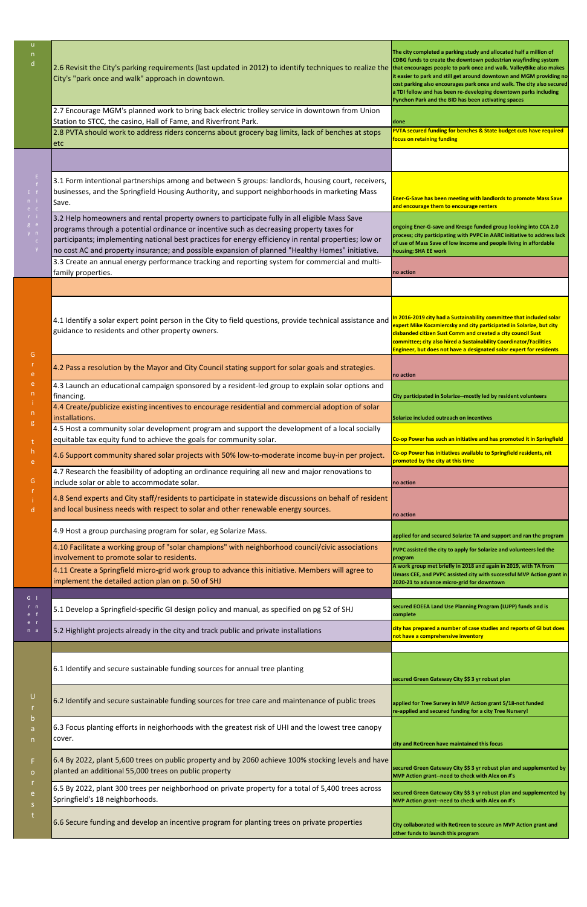| $\mathsf{u}$<br>$\mathsf{n}$<br>$\mathsf{d}$                              | 2.6 Revisit the City's parking requirements (last updated in 2012) to identify techniques to realize the<br>City's "park once and walk" approach in downtown.                                                                                                                                                                                                                                           | The city completed a parking study and allocated half a million of<br>CDBG funds to create the downtown pedestrian wayfinding system<br>that encourages people to park once and walk. ValleyBike also makes<br>it easier to park and still get around downtown and MGM providing no<br>cost parking also encourages park once and walk. The city also secured<br>a TDI fellow and has been re-developing downtown parks including<br>Pynchon Park and the BID has been activating spaces |
|---------------------------------------------------------------------------|---------------------------------------------------------------------------------------------------------------------------------------------------------------------------------------------------------------------------------------------------------------------------------------------------------------------------------------------------------------------------------------------------------|------------------------------------------------------------------------------------------------------------------------------------------------------------------------------------------------------------------------------------------------------------------------------------------------------------------------------------------------------------------------------------------------------------------------------------------------------------------------------------------|
|                                                                           | 2.7 Encourage MGM's planned work to bring back electric trolley service in downtown from Union<br>Station to STCC, the casino, Hall of Fame, and Riverfront Park.                                                                                                                                                                                                                                       | done                                                                                                                                                                                                                                                                                                                                                                                                                                                                                     |
|                                                                           | 2.8 PVTA should work to address riders concerns about grocery bag limits, lack of benches at stops<br>etc                                                                                                                                                                                                                                                                                               | PVTA secured funding for benches & State budget cuts have required<br>focus on retaining funding                                                                                                                                                                                                                                                                                                                                                                                         |
| E.<br>$E - f$<br>n i<br>$e$ $c$<br>$r - i$<br>g e<br>y n<br>$\mathsf C$   |                                                                                                                                                                                                                                                                                                                                                                                                         |                                                                                                                                                                                                                                                                                                                                                                                                                                                                                          |
|                                                                           | 3.1 Form intentional partnerships among and between 5 groups: landlords, housing court, receivers,<br>businesses, and the Springfield Housing Authority, and support neighborhoods in marketing Mass<br>Save.                                                                                                                                                                                           | Ener-G-Save has been meeting with landlords to promote Mass Save<br>and encourage them to encourage renters                                                                                                                                                                                                                                                                                                                                                                              |
|                                                                           | 3.2 Help homeowners and rental property owners to participate fully in all eligible Mass Save<br>programs through a potential ordinance or incentive such as decreasing property taxes for<br>participants; implementing national best practices for energy efficiency in rental properties; low or<br>no cost AC and property insurance; and possible expansion of planned "Healthy Homes" initiative. | ongoing Ener-G-save and Kresge funded group looking into CCA 2.0<br>process; city participating with PVPC in AARC initiative to address lack<br>of use of Mass Save of low income and people living in affordable<br>housing; SHA EE work                                                                                                                                                                                                                                                |
|                                                                           | 3.3 Create an annual energy performance tracking and reporting system for commercial and multi-<br>family properties.                                                                                                                                                                                                                                                                                   | no action                                                                                                                                                                                                                                                                                                                                                                                                                                                                                |
|                                                                           |                                                                                                                                                                                                                                                                                                                                                                                                         |                                                                                                                                                                                                                                                                                                                                                                                                                                                                                          |
| G<br>e<br>e<br>n<br>$\mathsf{n}$<br>g<br>t<br>$\mathsf{h}$<br>e<br>G<br>d | 4.1 Identify a solar expert point person in the City to field questions, provide technical assistance and<br>guidance to residents and other property owners.                                                                                                                                                                                                                                           | In 2016-2019 city had a Sustainability committee that included solar<br>expert Mike Koczmiercsky and city participated in Solarize, but city<br>disbanded citizen Sust Comm and created a city council Sust<br>committee; city also hired a Sustainability Coordinator/Facilities<br>Engineer, but does not have a designated solar expert for residents                                                                                                                                 |
|                                                                           | 4.2 Pass a resolution by the Mayor and City Council stating support for solar goals and strategies.                                                                                                                                                                                                                                                                                                     | no action                                                                                                                                                                                                                                                                                                                                                                                                                                                                                |
|                                                                           | 4.3 Launch an educational campaign sponsored by a resident-led group to explain solar options and<br>financing.                                                                                                                                                                                                                                                                                         | City participated in Solarize--mostly led by resident volunteers                                                                                                                                                                                                                                                                                                                                                                                                                         |
|                                                                           | 4.4 Create/publicize existing incentives to encourage residential and commercial adoption of solar<br>installations.                                                                                                                                                                                                                                                                                    | Solarize included outreach on incentives                                                                                                                                                                                                                                                                                                                                                                                                                                                 |
|                                                                           | 4.5 Host a community solar development program and support the development of a local socially<br>equitable tax equity fund to achieve the goals for community solar.                                                                                                                                                                                                                                   | Co-op Power has such an initiative and has promoted it in Springfield                                                                                                                                                                                                                                                                                                                                                                                                                    |
|                                                                           | 4.6 Support community shared solar projects with 50% low-to-moderate income buy-in per project.                                                                                                                                                                                                                                                                                                         | Co-op Power has initiatives available to Springfield residents, nit<br>promoted by the city at this time                                                                                                                                                                                                                                                                                                                                                                                 |
|                                                                           | 4.7 Research the feasibility of adopting an ordinance requiring all new and major renovations to<br>include solar or able to accommodate solar.                                                                                                                                                                                                                                                         | no action                                                                                                                                                                                                                                                                                                                                                                                                                                                                                |
|                                                                           | 4.8 Send experts and City staff/residents to participate in statewide discussions on behalf of resident<br>and local business needs with respect to solar and other renewable energy sources.                                                                                                                                                                                                           | no action                                                                                                                                                                                                                                                                                                                                                                                                                                                                                |
|                                                                           | 4.9 Host a group purchasing program for solar, eg Solarize Mass.                                                                                                                                                                                                                                                                                                                                        | applied for and secured Solarize TA and support and ran the program                                                                                                                                                                                                                                                                                                                                                                                                                      |
|                                                                           | 4.10 Facilitate a working group of "solar champions" with neighborhood council/civic associations<br>involvement to promote solar to residents.                                                                                                                                                                                                                                                         | PVPC assisted the city to apply for Solarize and volunteers led the<br>program                                                                                                                                                                                                                                                                                                                                                                                                           |
|                                                                           | 4.11 Create a Springfield micro-grid work group to advance this initiative. Members will agree to<br>implement the detailed action plan on p. 50 of SHJ                                                                                                                                                                                                                                                 | A work group met briefly in 2018 and again in 2019, with TA from<br>Umass CEE, and PVPC assisted city with successful MVP Action grant in<br>2020-21 to advance micro-grid for downtown                                                                                                                                                                                                                                                                                                  |
| $G \mid$<br>$r \, n$<br>$e$ f<br>e r<br>n a                               |                                                                                                                                                                                                                                                                                                                                                                                                         | secured EOEEA Land Use Planning Program (LUPP) funds and is                                                                                                                                                                                                                                                                                                                                                                                                                              |
|                                                                           | 5.1 Develop a Springfield-specific GI design policy and manual, as specified on pg 52 of SHJ                                                                                                                                                                                                                                                                                                            | complete                                                                                                                                                                                                                                                                                                                                                                                                                                                                                 |
|                                                                           | 5.2 Highlight projects already in the city and track public and private installations                                                                                                                                                                                                                                                                                                                   | city has prepared a number of case studies and reports of GI but does<br>not have a comprehensive inventory                                                                                                                                                                                                                                                                                                                                                                              |
|                                                                           |                                                                                                                                                                                                                                                                                                                                                                                                         |                                                                                                                                                                                                                                                                                                                                                                                                                                                                                          |

| 6.1 Identify and secure sustainable funding sources for annual tree planting                                                                                 |                                                                                                                          |
|--------------------------------------------------------------------------------------------------------------------------------------------------------------|--------------------------------------------------------------------------------------------------------------------------|
|                                                                                                                                                              | secured Green Gateway City \$\$ 3 yr robust plan                                                                         |
| 6.2 Identify and secure sustainable funding sources for tree care and maintenance of public trees                                                            | applied for Tree Survey in MVP Action grant 5/18-not funded<br>re-applied and secured funding for a city Tree Nursery!   |
| 6.3 Focus planting efforts in neighorhoods with the greatest risk of UHI and the lowest tree canopy<br>cover.                                                |                                                                                                                          |
|                                                                                                                                                              | city and ReGreen have maintained this focus                                                                              |
| 6.4 By 2022, plant 5,600 trees on public property and by 2060 achieve 100% stocking levels and have<br>planted an additional 55,000 trees on public property | secured Green Gateway City \$\$ 3 yr robust plan and supplemented by<br>MVP Action grant--need to check with Alex on #'s |
| 6.5 By 2022, plant 300 trees per neighborhood on private property for a total of 5,400 trees across<br>Springfield's 18 neighborhoods.                       | secured Green Gateway City \$\$ 3 yr robust plan and supplemented by<br>MVP Action grant--need to check with Alex on #'s |
| 6.6 Secure funding and develop an incentive program for planting trees on private properties                                                                 | City collaborated with ReGreen to sceure an MVP Action grant and<br>other funds to launch this program                   |

U

b a n

F o

e s t